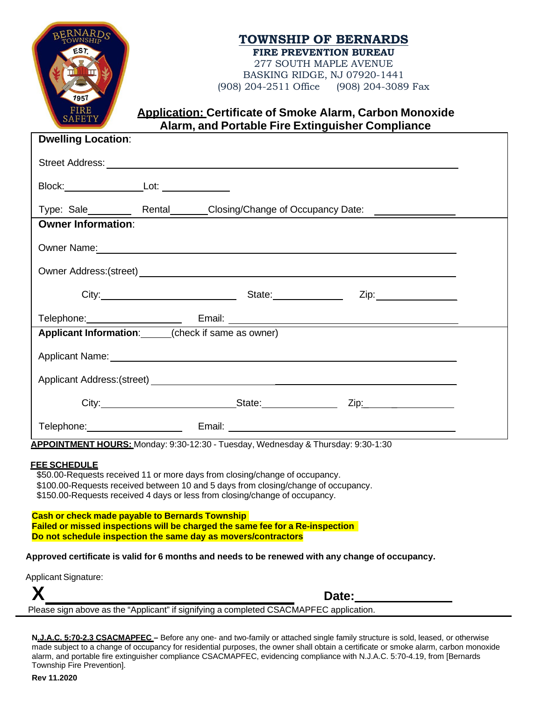| 1951<br><b>FIRE</b><br>SAFETY                                                                                                                                                                                                                                                                                                                                                                                      | <b>Application: Certificate of Smoke Alarm, Carbon Monoxide</b><br>Alarm, and Portable Fire Extinguisher Compliance                                                                                                            | <b>TOWNSHIP OF BERNARDS</b><br><b>FIRE PREVENTION BUREAU</b><br>277 SOUTH MAPLE AVENUE<br>BASKING RIDGE, NJ 07920-1441<br>(908) 204-2511 Office (908) 204-3089 Fax |                                                                                                                                                                                                                                |
|--------------------------------------------------------------------------------------------------------------------------------------------------------------------------------------------------------------------------------------------------------------------------------------------------------------------------------------------------------------------------------------------------------------------|--------------------------------------------------------------------------------------------------------------------------------------------------------------------------------------------------------------------------------|--------------------------------------------------------------------------------------------------------------------------------------------------------------------|--------------------------------------------------------------------------------------------------------------------------------------------------------------------------------------------------------------------------------|
| <b>Dwelling Location:</b>                                                                                                                                                                                                                                                                                                                                                                                          |                                                                                                                                                                                                                                |                                                                                                                                                                    |                                                                                                                                                                                                                                |
|                                                                                                                                                                                                                                                                                                                                                                                                                    |                                                                                                                                                                                                                                |                                                                                                                                                                    |                                                                                                                                                                                                                                |
| Block:____________________________Lot: ____________________                                                                                                                                                                                                                                                                                                                                                        |                                                                                                                                                                                                                                |                                                                                                                                                                    |                                                                                                                                                                                                                                |
|                                                                                                                                                                                                                                                                                                                                                                                                                    |                                                                                                                                                                                                                                |                                                                                                                                                                    | Type: Sale___________ Rental_______Closing/Change of Occupancy Date: ____________                                                                                                                                              |
| <b>Owner Information:</b>                                                                                                                                                                                                                                                                                                                                                                                          |                                                                                                                                                                                                                                |                                                                                                                                                                    |                                                                                                                                                                                                                                |
|                                                                                                                                                                                                                                                                                                                                                                                                                    | Owner Name: 2008 Communication of the Communication of the Communication of the Communication of the Communication of the Communication of the Communication of the Communication of the Communication of the Communication of |                                                                                                                                                                    |                                                                                                                                                                                                                                |
|                                                                                                                                                                                                                                                                                                                                                                                                                    |                                                                                                                                                                                                                                |                                                                                                                                                                    |                                                                                                                                                                                                                                |
|                                                                                                                                                                                                                                                                                                                                                                                                                    |                                                                                                                                                                                                                                |                                                                                                                                                                    |                                                                                                                                                                                                                                |
|                                                                                                                                                                                                                                                                                                                                                                                                                    |                                                                                                                                                                                                                                |                                                                                                                                                                    | Telephone: Email: Email: 2008. Email: 2009. Email: 2009. Email: 2009. Email: 2009. Email: 2009. Email: 2009. Email: 2009. Email: 2009. Email: 2009. Email: 2009. Email: 2009. Email: 2009. Email: 2009. Email: 2009. Email: 20 |
|                                                                                                                                                                                                                                                                                                                                                                                                                    | Applicant Information: (check if same as owner)                                                                                                                                                                                |                                                                                                                                                                    |                                                                                                                                                                                                                                |
|                                                                                                                                                                                                                                                                                                                                                                                                                    |                                                                                                                                                                                                                                |                                                                                                                                                                    |                                                                                                                                                                                                                                |
|                                                                                                                                                                                                                                                                                                                                                                                                                    |                                                                                                                                                                                                                                |                                                                                                                                                                    |                                                                                                                                                                                                                                |
|                                                                                                                                                                                                                                                                                                                                                                                                                    | City: City: City: City: City: City: City: City: City: City: City: City: City: City: City: City: City: City: City: City: City: City: City: City: City: City: City: City: City: City: City: City: City: City: City: City: City:  |                                                                                                                                                                    |                                                                                                                                                                                                                                |
| Telephone: Network of the state of the state of the state of the state of the state of the state of the state o                                                                                                                                                                                                                                                                                                    | Email: Email: Email: Email: Email: Email: Email: Email: Email: Email: Email: Email: Email: Email: Email: Email: Email: Email: Email: Email: Email: Email: Email: Email: Email: Email: Email: Email: Email: Email: Email: Email |                                                                                                                                                                    |                                                                                                                                                                                                                                |
| APPOINTMENT HOURS: Monday: 9:30-12:30 - Tuesday, Wednesday & Thursday: 9:30-1:30                                                                                                                                                                                                                                                                                                                                   |                                                                                                                                                                                                                                |                                                                                                                                                                    |                                                                                                                                                                                                                                |
| <b>FEE SCHEDULE</b><br>\$50.00-Requests received 11 or more days from closing/change of occupancy.<br>\$100.00-Requests received between 10 and 5 days from closing/change of occupancy.<br>\$150.00-Requests received 4 days or less from closing/change of occupancy.<br><b>Cash or check made payable to Bernards Township</b><br>Failed or missed inspections will be charged the same fee for a Re-inspection |                                                                                                                                                                                                                                |                                                                                                                                                                    |                                                                                                                                                                                                                                |
| Do not schedule inspection the same day as movers/contractors                                                                                                                                                                                                                                                                                                                                                      |                                                                                                                                                                                                                                |                                                                                                                                                                    |                                                                                                                                                                                                                                |
| Approved certificate is valid for 6 months and needs to be renewed with any change of occupancy.                                                                                                                                                                                                                                                                                                                   |                                                                                                                                                                                                                                |                                                                                                                                                                    |                                                                                                                                                                                                                                |
| <b>Applicant Signature:</b><br>X                                                                                                                                                                                                                                                                                                                                                                                   |                                                                                                                                                                                                                                |                                                                                                                                                                    |                                                                                                                                                                                                                                |
|                                                                                                                                                                                                                                                                                                                                                                                                                    |                                                                                                                                                                                                                                | Date:                                                                                                                                                              |                                                                                                                                                                                                                                |

Please sign above as the "Applicant" if signifying a completed CSACMAPFEC application.

**N.J.A.C. 5:70-2.3 CSACMAPFEC –** Before any one- and two-family or attached single family structure is sold, leased, or otherwise made subject to a change of occupancy for residential purposes, the owner shall obtain a certificate or smoke alarm, carbon monoxide alarm, and portable fire extinguisher compliance CSACMAPFEC, evidencing compliance with N.J.A.C. 5:70-4.19, from [Bernards Township Fire Prevention].